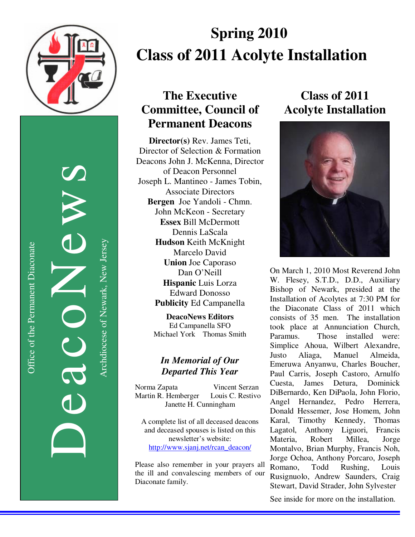

DeacoNews News NES Archdiocese of Newark, New Jersey Archdiocese of Newark, New Jersey

# **Spring 2010 Class of 2011 Acolyte Installation**

### **The Executive Committee, Council of Permanent Deacons**

**Director(s)** Rev. James Teti, Director of Selection & Formation Deacons John J. McKenna, Director of Deacon Personnel Joseph L. Mantineo - James Tobin, Associate Directors **Bergen** Joe Yandoli - Chmn. John McKeon - Secretary **Essex** Bill McDermott Dennis LaScala **Hudson** Keith McKnight Marcelo David **Union** Joe Caporaso Dan O'Neill **Hispanic** Luis Lorza Edward Donosso **Publicity** Ed Campanella

> **DeacoNews Editors**  Ed Campanella SFO Michael York Thomas Smith

### *In Memorial of Our Departed This Year*

Norma Zapata Vincent Serzan Martin R. Hemberger Louis C. Restivo Janette H. Cunningham

A complete list of all deceased deacons and deceased spouses is listed on this newsletter's website: http://www.sjanj.net/rcan\_deacon/

Please also remember in your prayers all the ill and convalescing members of our Diaconate family.

## **Class of 2011 Acolyte Installation**



On March 1, 2010 Most Reverend John W. Flesey, S.T.D., D.D., Auxiliary Bishop of Newark, presided at the Installation of Acolytes at 7:30 PM for the Diaconate Class of 2011 which consists of 35 men. The installation took place at Annunciation Church, Paramus. Those installed were: Simplice Ahoua, Wilbert Alexandre, Justo Aliaga, Manuel Almeida, Emeruwa Anyanwu, Charles Boucher, Paul Carris, Joseph Castoro, Arnulfo Cuesta, James Detura, Dominick DiBernardo, Ken DiPaola, John Florio, Angel Hernandez, Pedro Herrera, Donald Hessemer, Jose Homem, John Karal, Timothy Kennedy, Thomas Lagatol, Anthony Liguori, Francis Materia, Robert Millea, Jorge Montalvo, Brian Murphy, Francis Noh, Jorge Ochoa, Anthony Porcaro, Joseph Romano, Todd Rushing, Louis Rusignuolo, Andrew Saunders, Craig Stewart, David Strader, John Sylvester

See inside for more on the installation.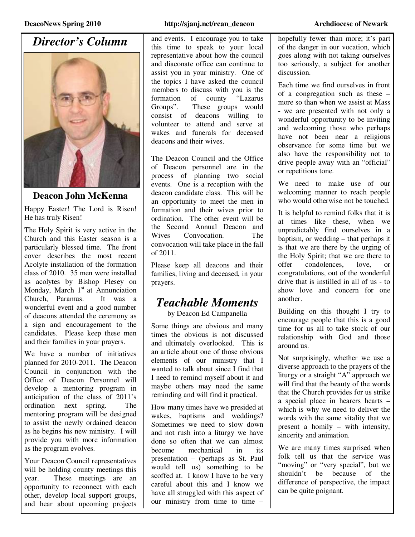## *Director's Column*



#### **Deacon John McKenna**

Happy Easter! The Lord is Risen! He has truly Risen!

The Holy Spirit is very active in the Church and this Easter season is a particularly blessed time. The front cover describes the most recent Acolyte installation of the formation class of 2010. 35 men were installed as acolytes by Bishop Flesey on Monday, March  $1<sup>st</sup>$  at Annunciation<br>Church Paramus It was a Church, Paramus. wonderful event and a good number of deacons attended the ceremony as a sign and encouragement to the candidates. Please keep these men and their families in your prayers.

We have a number of initiatives planned for 2010-2011. The Deacon Council in conjunction with the Office of Deacon Personnel will develop a mentoring program in anticipation of the class of 2011's ordination next spring. The mentoring program will be designed to assist the newly ordained deacon as he begins his new ministry. I will provide you with more information as the program evolves.

Your Deacon Council representatives will be holding county meetings this year. These meetings are an opportunity to reconnect with each other, develop local support groups, and hear about upcoming projects

#### **DeacoNews Spring 2010 http://sjanj.net/rcan\_deacon Archdiocese of Newark**

and events. I encourage you to take this time to speak to your local representative about how the council and diaconate office can continue to assist you in your ministry. One of the topics I have asked the council members to discuss with you is the formation of county "Lazarus Groups". These groups would consist of deacons willing to volunteer to attend and serve at wakes and funerals for deceased deacons and their wives.

The Deacon Council and the Office of Deacon personnel are in the process of planning two social events. One is a reception with the deacon candidate class. This will be an opportunity to meet the men in formation and their wives prior to ordination. The other event will be the Second Annual Deacon and Wives Convocation. The convocation will take place in the fall of 2011.

Please keep all deacons and their families, living and deceased, in your prayers.

### *Teachable Moments*

by Deacon Ed Campanella

Some things are obvious and many times the obvious is not discussed and ultimately overlooked. This is an article about one of those obvious elements of our ministry that I wanted to talk about since I find that I need to remind myself about it and maybe others may need the same reminding and will find it practical.

How many times have we presided at wakes, baptisms and weddings? Sometimes we need to slow down and not rush into a liturgy we have done so often that we can almost become mechanical in its presentation – (perhaps as St. Paul would tell us) something to be scoffed at. I know I have to be very careful about this and I know we have all struggled with this aspect of our ministry from time to time –

hopefully fewer than more; it's part of the danger in our vocation, which goes along with not taking ourselves too seriously, a subject for another discussion.

Each time we find ourselves in front of a congregation such as these – more so than when we assist at Mass - we are presented with not only a wonderful opportunity to be inviting and welcoming those who perhaps have not been near a religious observance for some time but we also have the responsibility not to drive people away with an "official" or repetitious tone.

We need to make use of our welcoming manner to reach people who would otherwise not be touched.

It is helpful to remind folks that it is at times like these, when we unpredictably find ourselves in a baptism, or wedding – that perhaps it is that we are there by the urging of the Holy Spirit; that we are there to offer condolences, love, or congratulations, out of the wonderful drive that is instilled in all of us - to show love and concern for one another.

Building on this thought I try to encourage people that this is a good time for us all to take stock of our relationship with God and those around us.

Not surprisingly, whether we use a diverse approach to the prayers of the liturgy or a straight "A" approach we will find that the beauty of the words that the Church provides for us strike a special place in hearers hearts – which is why we need to deliver the words with the same vitality that we present a homily – with intensity, sincerity and animation.

We are many times surprised when folk tell us that the service was "moving" or "very special", but we shouldn't be because of the difference of perspective, the impact can be quite poignant.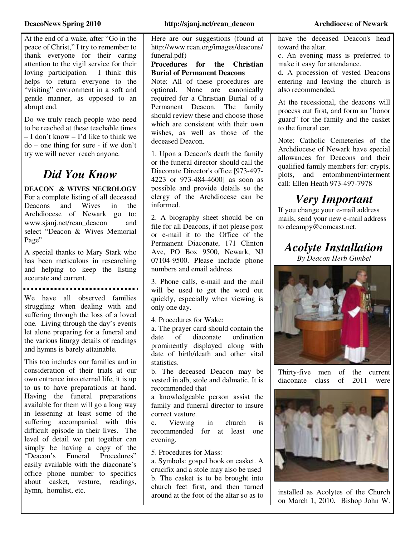At the end of a wake, after "Go in the peace of Christ," I try to remember to thank everyone for their caring attention to the vigil service for their loving participation. I think this helps to return everyone to the "visiting" environment in a soft and gentle manner, as opposed to an abrupt end.

Do we truly reach people who need to be reached at these teachable times – I don't know – I'd like to think we do – one thing for sure - if we don't try we will never reach anyone.

### *Did You Know*

**DEACON & WIVES NECROLOGY** For a complete listing of all deceased Deacons and Wives in the Archdiocese of Newark go to: www.sjanj.net/rcan\_deacon and select "Deacon & Wives Memorial Page"

A special thanks to Mary Stark who has been meticulous in researching and helping to keep the listing accurate and current.

We have all observed families struggling when dealing with and suffering through the loss of a loved one. Living through the day's events let alone preparing for a funeral and the various liturgy details of readings and hymns is barely attainable.

This too includes our families and in consideration of their trials at our own entrance into eternal life, it is up to us to have preparations at hand. Having the funeral preparations available for them will go a long way in lessening at least some of the suffering accompanied with this difficult episode in their lives. The level of detail we put together can simply be having a copy of the "Deacon's Funeral Procedures" easily available with the diaconate's office phone number to specifics about casket, vesture, readings, hymn, homilist, etc.

Here are our suggestions (found at http://www.rcan.org/images/deacons/ funeral.pdf)

**Procedures for the Christian Burial of Permanent Deacons**

Note: All of these procedures are optional. None are canonically required for a Christian Burial of a Permanent Deacon. The family should review these and choose those which are consistent with their own wishes, as well as those of the deceased Deacon.

1. Upon a Deacon's death the family or the funeral director should call the Diaconate Director's office [973-497- 4223 or 973-484-4600] as soon as possible and provide details so the clergy of the Archdiocese can be informed.

2. A biography sheet should be on file for all Deacons, if not please post or e-mail it to the Office of the Permanent Diaconate, 171 Clinton Ave, PO Box 9500, Newark, NJ 07104-9500. Please include phone numbers and email address.

3. Phone calls, e-mail and the mail will be used to get the word out quickly, especially when viewing is only one day.

4. Procedures for Wake:

a. The prayer card should contain the date of diaconate ordination prominently displayed along with date of birth/death and other vital statistics.

b. The deceased Deacon may be vested in alb, stole and dalmatic. It is recommended that

a knowledgeable person assist the family and funeral director to insure correct vesture.

c. Viewing in church is recommended for at least one evening.

5. Procedures for Mass:

a. Symbols: gospel book on casket. A crucifix and a stole may also be used b. The casket is to be brought into church feet first, and then turned around at the foot of the altar so as to have the deceased Deacon's head toward the altar.

c. An evening mass is preferred to make it easy for attendance.

d. A procession of vested Deacons entering and leaving the church is also recommended.

At the recessional, the deacons will process out first, and form an "honor guard" for the family and the casket to the funeral car.

Note: Catholic Cemeteries of the Archdiocese of Newark have special allowances for Deacons and their qualified family members for: crypts, plots, and entombment/interment call: Ellen Heath 973-497-7978

## *Very Important*

If you change your e-mail address mails, send your new e-mail address to edcampy@comcast.net.

*Acolyte Installation* 

*By Deacon Herb Gimbel* 



Thirty-five men of the current<br>diaconate class of 2011 were diaconate class of 2011 were



installed as Acolytes of the Church on March 1, 2010. Bishop John W.